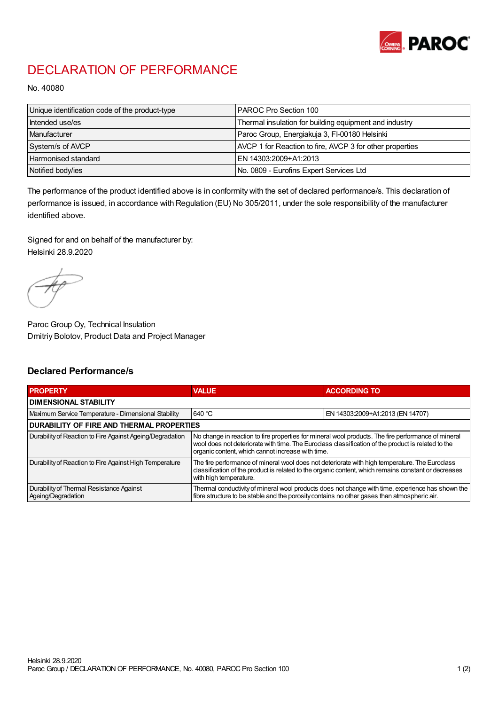

## DECLARATION OF PERFORMANCE

No. 40080

| Unique identification code of the product-type | IPAROC Pro Section 100                                   |
|------------------------------------------------|----------------------------------------------------------|
| Intended use/es                                | Thermal insulation for building equipment and industry   |
| Manufacturer                                   | Paroc Group, Energiakuja 3, FI-00180 Helsinki            |
| System/s of AVCP                               | AVCP 1 for Reaction to fire, AVCP 3 for other properties |
| Harmonised standard                            | IEN 14303:2009+A1:2013                                   |
| Notified body/ies                              | No. 0809 - Eurofins Expert Services Ltd                  |

The performance of the product identified above is in conformity with the set of declared performance/s. This declaration of performance is issued, in accordance with Regulation (EU) No 305/2011, under the sole responsibility of the manufacturer identified above.

Signed for and on behalf of the manufacturer by: Helsinki 28.9.2020

Paroc Group Oy, Technical Insulation Dmitriy Bolotov, Product Data and Project Manager

## Declared Performance/s

| <b>PROPERTY</b>                                                | <b>VALUE</b>                                                                                                                                                                                                                                                   | <b>ACCORDING TO.</b>             |  |
|----------------------------------------------------------------|----------------------------------------------------------------------------------------------------------------------------------------------------------------------------------------------------------------------------------------------------------------|----------------------------------|--|
| <b>DIMENSIONAL STABILITY</b>                                   |                                                                                                                                                                                                                                                                |                                  |  |
| Maximum Service Temperature - Dimensional Stability            | 640 °C                                                                                                                                                                                                                                                         | EN 14303:2009+A1:2013 (EN 14707) |  |
| <b>DURABILITY OF FIRE AND THERMAL PROPERTIES</b>               |                                                                                                                                                                                                                                                                |                                  |  |
| Durability of Reaction to Fire Against Ageing/Degradation      | No change in reaction to fire properties for mineral wool products. The fire performance of mineral<br>wool does not deteriorate with time. The Euroclass classification of the product is related to the<br>organic content, which cannot increase with time. |                                  |  |
| Durability of Reaction to Fire Against High Temperature        | The fire performance of mineral wool does not deteriorate with high temperature. The Euroclass<br>classification of the product is related to the organic content, which remains constant or decreases<br>with high temperature.                               |                                  |  |
| Durability of Thermal Resistance Against<br>Ageing/Degradation | Thermal conductivity of mineral wool products does not change with time, experience has shown the<br>fibre structure to be stable and the porosity contains no other gases than atmospheric air.                                                               |                                  |  |